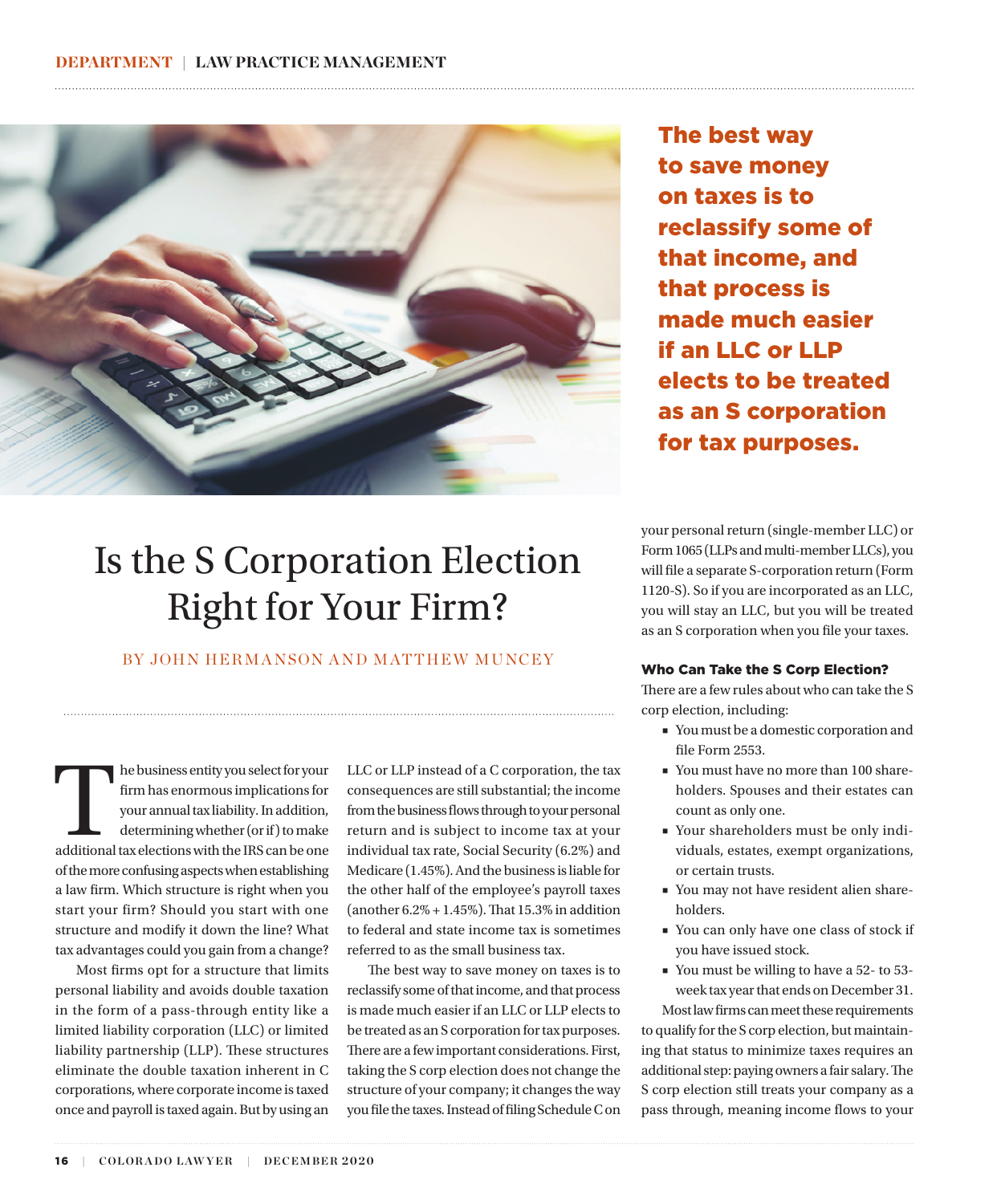

# The best way to save money on taxes is to reclassify some of that income, and that process is made much easier if an LLC or LLP elects to be treated as an S corporation for tax purposes.

Is the S Corporation Election Right for Your Firm?

BY JOHN HERMANSON AND MATTHEW MUNCEY

The business entity you select for your<br>
firm has enormous implications for<br>
your annual tax liability. In addition,<br>
determining whether (or if) to make<br>
additional tax elections with the IRS can be one firm has enormous implications for your annual tax liability. In addition, determining whether (or if) to make of the more confusing aspects when establishing a law firm. Which structure is right when you start your firm? Should you start with one structure and modify it down the line? What tax advantages could you gain from a change?

Most firms opt for a structure that limits personal liability and avoids double taxation in the form of a pass-through entity like a limited liability corporation (LLC) or limited liability partnership (LLP). These structures eliminate the double taxation inherent in C corporations, where corporate income is taxed once and payroll is taxed again. But by using an

LLC or LLP instead of a C corporation, the tax consequences are still substantial; the income from the business flows through to your personal return and is subject to income tax at your individual tax rate, Social Security (6.2%) and Medicare (1.45%). And the business is liable for the other half of the employee's payroll taxes (another 6.2% + 1.45%). That 15.3% in addition to federal and state income tax is sometimes referred to as the small business tax.

The best way to save money on taxes is to reclassify some of that income, and that process is made much easier if an LLC or LLP elects to be treated as an S corporation for tax purposes. There are a few important considerations. First, taking the S corp election does not change the structure of your company; it changes the way you file the taxes. Instead of filing Schedule C on your personal return (single-member LLC) or Form 1065 (LLPs and multi-member LLCs), you will file a separate S-corporation return (Form 1120-S). So if you are incorporated as an LLC, you will stay an LLC, but you will be treated as an S corporation when you file your taxes.

#### Who Can Take the S Corp Election?

There are a few rules about who can take the S corp election, including:

- You must be a domestic corporation and file Form 2553.
- You must have no more than 100 shareholders. Spouses and their estates can count as only one.
- Your shareholders must be only individuals, estates, exempt organizations, or certain trusts.
- You may not have resident alien shareholders.
- You can only have one class of stock if you have issued stock.
- You must be willing to have a 52- to 53week tax year that ends on December 31.

Most law firms can meet these requirements to qualify for the S corp election, but maintaining that status to minimize taxes requires an additional step: paying owners a fair salary. The S corp election still treats your company as a pass through, meaning income flows to your